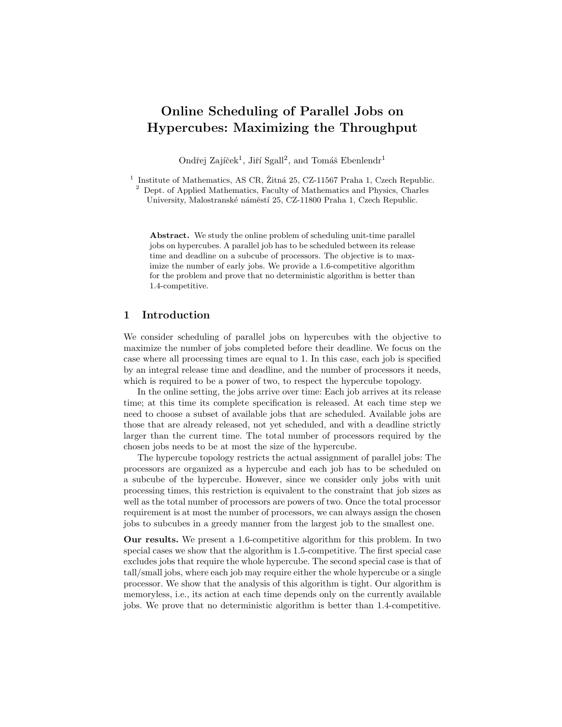# Online Scheduling of Parallel Jobs on Hypercubes: Maximizing the Throughput

Ondřej Zajíček<sup>1</sup>, Jiří Sgall<sup>2</sup>, and Tomáš Ebenlendr<sup>1</sup>

Abstract. We study the online problem of scheduling unit-time parallel jobs on hypercubes. A parallel job has to be scheduled between its release time and deadline on a subcube of processors. The objective is to maximize the number of early jobs. We provide a 1.6-competitive algorithm for the problem and prove that no deterministic algorithm is better than 1.4-competitive.

# 1 Introduction

We consider scheduling of parallel jobs on hypercubes with the objective to maximize the number of jobs completed before their deadline. We focus on the case where all processing times are equal to 1. In this case, each job is specified by an integral release time and deadline, and the number of processors it needs, which is required to be a power of two, to respect the hypercube topology.

In the online setting, the jobs arrive over time: Each job arrives at its release time; at this time its complete specification is released. At each time step we need to choose a subset of available jobs that are scheduled. Available jobs are those that are already released, not yet scheduled, and with a deadline strictly larger than the current time. The total number of processors required by the chosen jobs needs to be at most the size of the hypercube.

The hypercube topology restricts the actual assignment of parallel jobs: The processors are organized as a hypercube and each job has to be scheduled on a subcube of the hypercube. However, since we consider only jobs with unit processing times, this restriction is equivalent to the constraint that job sizes as well as the total number of processors are powers of two. Once the total processor requirement is at most the number of processors, we can always assign the chosen jobs to subcubes in a greedy manner from the largest job to the smallest one.

Our results. We present a 1.6-competitive algorithm for this problem. In two special cases we show that the algorithm is 1.5-competitive. The first special case excludes jobs that require the whole hypercube. The second special case is that of tall/small jobs, where each job may require either the whole hypercube or a single processor. We show that the analysis of this algorithm is tight. Our algorithm is memoryless, i.e., its action at each time depends only on the currently available jobs. We prove that no deterministic algorithm is better than 1.4-competitive.

<sup>&</sup>lt;sup>1</sup> Institute of Mathematics, AS CR, Žitná 25, CZ-11567 Praha 1, Czech Republic. <sup>2</sup> Dept. of Applied Mathematics, Faculty of Mathematics and Physics, Charles University, Malostranské náměstí 25, CZ-11800 Praha 1, Czech Republic.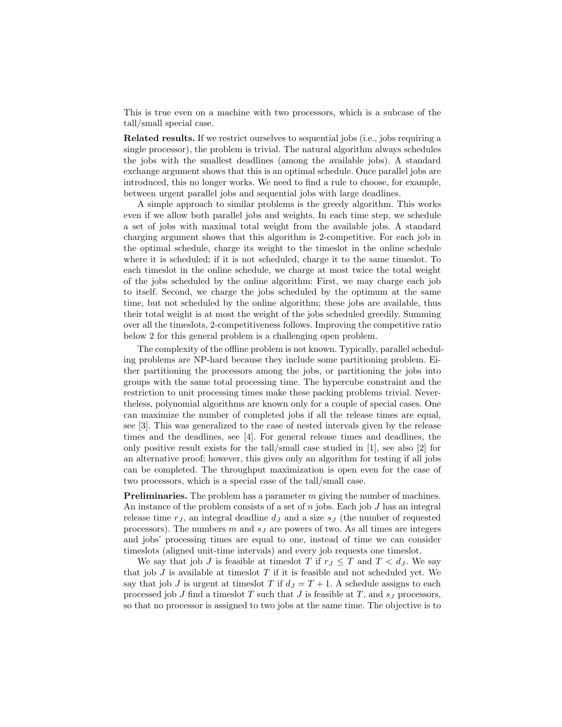This is true even on a machine with two processors, which is a subcase of the tall/small special case.

Related results. If we restrict ourselves to sequential jobs (i.e., jobs requiring a single processor), the problem is trivial. The natural algorithm always schedules the jobs with the smallest deadlines (among the available jobs). A standard exchange argument shows that this is an optimal schedule. Once parallel jobs are introduced, this no longer works. We need to find a rule to choose, for example, between urgent parallel jobs and sequential jobs with large deadlines.

A simple approach to similar problems is the greedy algorithm. This works even if we allow both parallel jobs and weights. In each time step, we schedule a set of jobs with maximal total weight from the available jobs. A standard charging argument shows that this algorithm is 2-competitive. For each job in the optimal schedule, charge its weight to the timeslot in the online schedule where it is scheduled; if it is not scheduled, charge it to the same timeslot. To each timeslot in the online schedule, we charge at most twice the total weight of the jobs scheduled by the online algorithm: First, we may charge each job to itself. Second, we charge the jobs scheduled by the optimum at the same time, but not scheduled by the online algorithm; these jobs are available, thus their total weight is at most the weight of the jobs scheduled greedily. Summing over all the timeslots, 2-competitiveness follows. Improving the competitive ratio below 2 for this general problem is a challenging open problem.

The complexity of the offline problem is not known. Typically, parallel scheduling problems are NP-hard because they include some partitioning problem. Either partitioning the processors among the jobs, or partitioning the jobs into groups with the same total processing time. The hypercube constraint and the restriction to unit processing times make these packing problems trivial. Nevertheless, polynomial algorithms are known only for a couple of special cases. One can maximize the number of completed jobs if all the release times are equal, see [3]. This was generalized to the case of nested intervals given by the release times and the deadlines, see [4]. For general release times and deadlines, the only positive result exists for the tall/small case studied in [1], see also [2] for an alternative proof; however, this gives only an algorithm for testing if all jobs can be completed. The throughput maximization is open even for the case of two processors, which is a special case of the tall/small case.

**Preliminaries.** The problem has a parameter  $m$  giving the number of machines. An instance of the problem consists of a set of  $n$  jobs. Each job  $J$  has an integral release time  $r_J$ , an integral deadline  $d_J$  and a size  $s_J$  (the number of requested processors). The numbers m and  $s<sub>J</sub>$  are powers of two. As all times are integers and jobs' processing times are equal to one, instead of time we can consider timeslots (aligned unit-time intervals) and every job requests one timeslot.

We say that job J is feasible at timeslot T if  $r_J \leq T$  and  $T < d_J$ . We say that job  $J$  is available at timeslot  $T$  if it is feasible and not scheduled yet. We say that job J is urgent at timeslot T if  $d_J = T + 1$ . A schedule assigns to each processed job  $J$  find a timeslot  $T$  such that  $J$  is feasible at  $T$ , and  $s_J$  processors, so that no processor is assigned to two jobs at the same time. The objective is to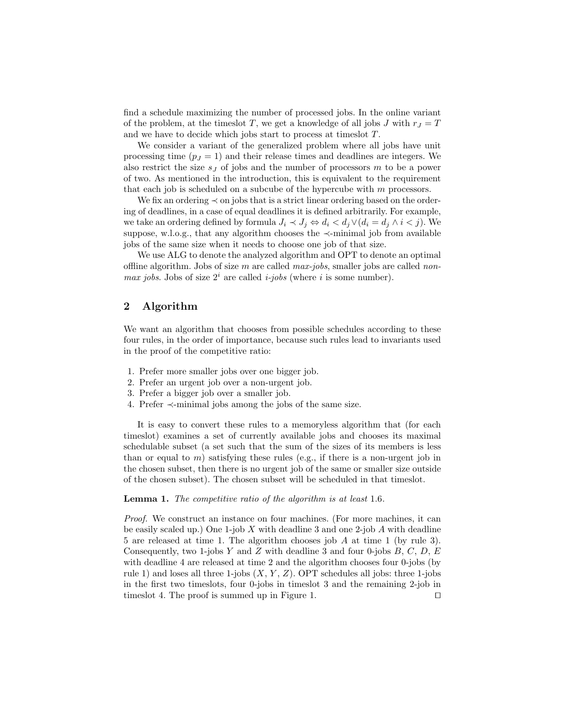find a schedule maximizing the number of processed jobs. In the online variant of the problem, at the timeslot T, we get a knowledge of all jobs J with  $r_J = T$ and we have to decide which jobs start to process at timeslot T.

We consider a variant of the generalized problem where all jobs have unit processing time  $(p_J = 1)$  and their release times and deadlines are integers. We also restrict the size  $s_j$  of jobs and the number of processors  $m$  to be a power of two. As mentioned in the introduction, this is equivalent to the requirement that each job is scheduled on a subcube of the hypercube with  $m$  processors.

We fix an ordering ≺ on jobs that is a strict linear ordering based on the ordering of deadlines, in a case of equal deadlines it is defined arbitrarily. For example, we take an ordering defined by formula  $J_i \prec J_j \Leftrightarrow d_i < d_j \vee (d_i = d_j \wedge i < j)$ . We suppose, w.l.o.g., that any algorithm chooses the  $\prec$ -minimal job from available jobs of the same size when it needs to choose one job of that size.

We use ALG to denote the analyzed algorithm and OPT to denote an optimal offline algorithm. Jobs of size m are called  $max-pobs$ , smaller jobs are called non*max jobs.* Jobs of size  $2^i$  are called *i-jobs* (where *i* is some number).

## 2 Algorithm

We want an algorithm that chooses from possible schedules according to these four rules, in the order of importance, because such rules lead to invariants used in the proof of the competitive ratio:

- 1. Prefer more smaller jobs over one bigger job.
- 2. Prefer an urgent job over a non-urgent job.
- 3. Prefer a bigger job over a smaller job.
- 4. Prefer ≺-minimal jobs among the jobs of the same size.

It is easy to convert these rules to a memoryless algorithm that (for each timeslot) examines a set of currently available jobs and chooses its maximal schedulable subset (a set such that the sum of the sizes of its members is less than or equal to m) satisfying these rules (e.g., if there is a non-urgent job in the chosen subset, then there is no urgent job of the same or smaller size outside of the chosen subset). The chosen subset will be scheduled in that timeslot.

#### Lemma 1. The competitive ratio of the algorithm is at least 1.6.

Proof. We construct an instance on four machines. (For more machines, it can be easily scaled up.) One 1-job  $X$  with deadline 3 and one 2-job  $A$  with deadline 5 are released at time 1. The algorithm chooses job A at time 1 (by rule 3). Consequently, two 1-jobs Y and Z with deadline 3 and four 0-jobs  $B, C, D, E$ with deadline 4 are released at time 2 and the algorithm chooses four 0-jobs (by rule 1) and loses all three 1-jobs  $(X, Y, Z)$ . OPT schedules all jobs: three 1-jobs in the first two timeslots, four 0-jobs in timeslot 3 and the remaining 2-job in timeslot 4. The proof is summed up in Figure 1.  $\Box$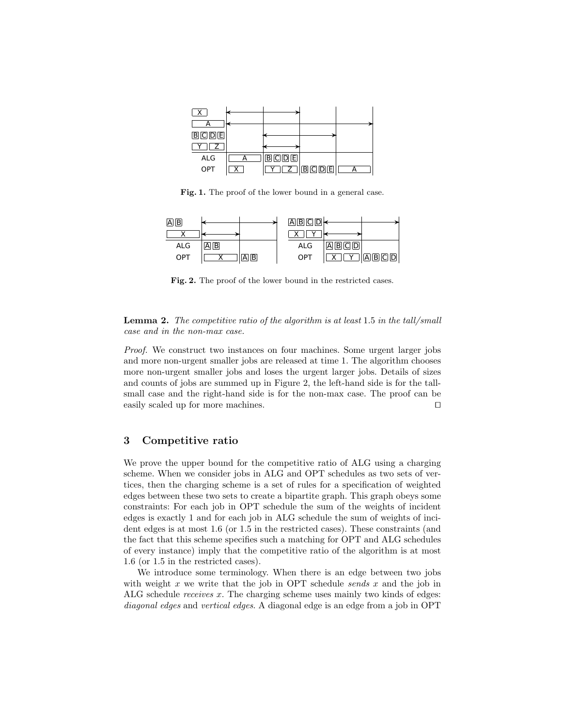

Fig. 1. The proof of the lower bound in a general case.



Fig. 2. The proof of the lower bound in the restricted cases.

Lemma 2. The competitive ratio of the algorithm is at least 1.5 in the tall/small case and in the non-max case.

Proof. We construct two instances on four machines. Some urgent larger jobs and more non-urgent smaller jobs are released at time 1. The algorithm chooses more non-urgent smaller jobs and loses the urgent larger jobs. Details of sizes and counts of jobs are summed up in Figure 2, the left-hand side is for the tallsmall case and the right-hand side is for the non-max case. The proof can be easily scaled up for more machines.  $\Box$ 

# 3 Competitive ratio

We prove the upper bound for the competitive ratio of ALG using a charging scheme. When we consider jobs in ALG and OPT schedules as two sets of vertices, then the charging scheme is a set of rules for a specification of weighted edges between these two sets to create a bipartite graph. This graph obeys some constraints: For each job in OPT schedule the sum of the weights of incident edges is exactly 1 and for each job in ALG schedule the sum of weights of incident edges is at most 1.6 (or 1.5 in the restricted cases). These constraints (and the fact that this scheme specifies such a matching for OPT and ALG schedules of every instance) imply that the competitive ratio of the algorithm is at most 1.6 (or 1.5 in the restricted cases).

We introduce some terminology. When there is an edge between two jobs with weight x we write that the job in OPT schedule sends x and the job in ALG schedule *receives* x. The charging scheme uses mainly two kinds of edges: diagonal edges and vertical edges. A diagonal edge is an edge from a job in OPT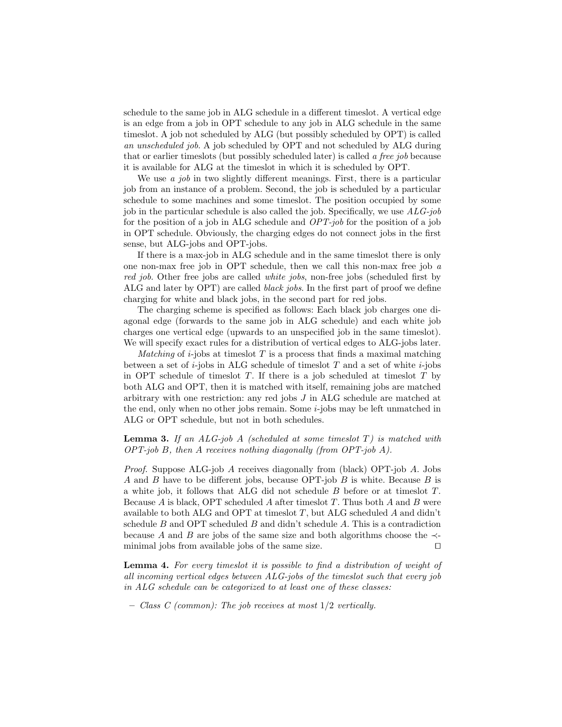schedule to the same job in ALG schedule in a different timeslot. A vertical edge is an edge from a job in OPT schedule to any job in ALG schedule in the same timeslot. A job not scheduled by ALG (but possibly scheduled by OPT) is called an unscheduled job. A job scheduled by OPT and not scheduled by ALG during that or earlier timeslots (but possibly scheduled later) is called a free job because it is available for ALG at the timeslot in which it is scheduled by OPT.

We use  $\alpha$  job in two slightly different meanings. First, there is a particular job from an instance of a problem. Second, the job is scheduled by a particular schedule to some machines and some timeslot. The position occupied by some job in the particular schedule is also called the job. Specifically, we use  $ALG$ -job for the position of a job in ALG schedule and OPT-job for the position of a job in OPT schedule. Obviously, the charging edges do not connect jobs in the first sense, but ALG-jobs and OPT-jobs.

If there is a max-job in ALG schedule and in the same timeslot there is only one non-max free job in OPT schedule, then we call this non-max free job a red job. Other free jobs are called white jobs, non-free jobs (scheduled first by ALG and later by OPT) are called black jobs. In the first part of proof we define charging for white and black jobs, in the second part for red jobs.

The charging scheme is specified as follows: Each black job charges one diagonal edge (forwards to the same job in ALG schedule) and each white job charges one vertical edge (upwards to an unspecified job in the same timeslot). We will specify exact rules for a distribution of vertical edges to ALG-jobs later.

Matching of  $i$ -jobs at timeslot T is a process that finds a maximal matching between a set of  $i$ -jobs in ALG schedule of timeslot T and a set of white  $i$ -jobs in OPT schedule of timeslot T. If there is a job scheduled at timeslot  $T$  by both ALG and OPT, then it is matched with itself, remaining jobs are matched arbitrary with one restriction: any red jobs J in ALG schedule are matched at the end, only when no other jobs remain. Some i-jobs may be left unmatched in ALG or OPT schedule, but not in both schedules.

**Lemma 3.** If an ALG-job A (scheduled at some timeslot  $T$ ) is matched with OPT-job B, then A receives nothing diagonally (from OPT-job A).

Proof. Suppose ALG-job A receives diagonally from (black) OPT-job A. Jobs A and B have to be different jobs, because OPT-job B is white. Because B is a white job, it follows that ALG did not schedule B before or at timeslot T. Because  $A$  is black, OPT scheduled  $A$  after timeslot  $T$ . Thus both  $A$  and  $B$  were available to both ALG and OPT at timeslot T, but ALG scheduled  $A$  and didn't schedule  $B$  and OPT scheduled  $B$  and didn't schedule  $A$ . This is a contradiction because A and B are jobs of the same size and both algorithms choose the  $\prec$ minimal jobs from available jobs of the same size.  $\Box$ 

Lemma 4. For every timeslot it is possible to find a distribution of weight of all incoming vertical edges between ALG-jobs of the timeslot such that every job in ALG schedule can be categorized to at least one of these classes:

– Class C (common): The job receives at most 1/2 vertically.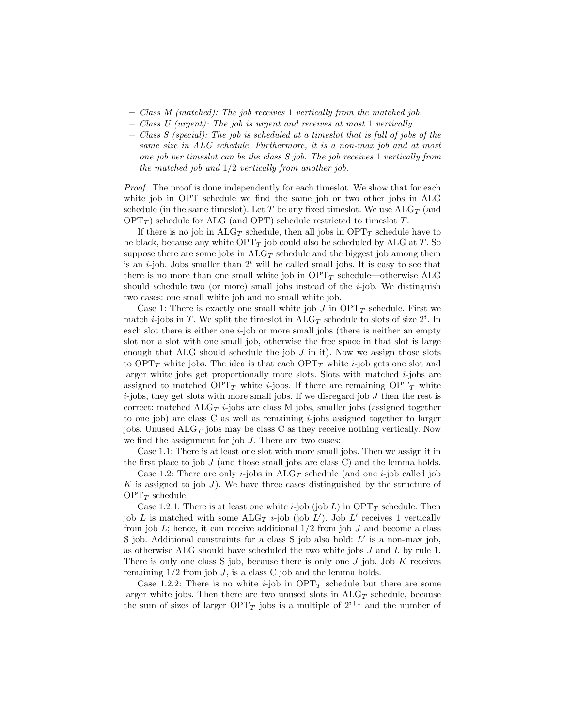- Class M (matched): The job receives 1 vertically from the matched job.
- Class U (urgent): The job is urgent and receives at most 1 vertically.
- Class S (special): The job is scheduled at a timeslot that is full of jobs of the same size in ALG schedule. Furthermore, it is a non-max job and at most one job per timeslot can be the class S job. The job receives 1 vertically from the matched job and 1/2 vertically from another job.

Proof. The proof is done independently for each timeslot. We show that for each white job in OPT schedule we find the same job or two other jobs in ALG schedule (in the same timeslot). Let T be any fixed timeslot. We use  $ALG_T$  (and  $\text{OPT}_T$ ) schedule for ALG (and OPT) schedule restricted to timeslot T.

If there is no job in  $\text{ALG}_T$  schedule, then all jobs in  $\text{OPT}_T$  schedule have to be black, because any white  $\text{OPT}_T$  job could also be scheduled by ALG at T. So suppose there are some jobs in  $\text{ALG}_T$  schedule and the biggest job among them is an *i*-job. Jobs smaller than  $2<sup>i</sup>$  will be called small jobs. It is easy to see that there is no more than one small white job in  $\text{OPT}_T$  schedule—otherwise ALG should schedule two (or more) small jobs instead of the  $i$ -job. We distinguish two cases: one small white job and no small white job.

Case 1: There is exactly one small white job  $J$  in  $\text{OPT}_T$  schedule. First we match *i*-jobs in T. We split the timeslot in  $ALG_T$  schedule to slots of size  $2^i$ . In each slot there is either one *i*-job or more small jobs (there is neither an empty slot nor a slot with one small job, otherwise the free space in that slot is large enough that ALG should schedule the job  $J$  in it). Now we assign those slots to  $\text{OPT}_T$  white jobs. The idea is that each  $\text{OPT}_T$  white *i*-job gets one slot and larger white jobs get proportionally more slots. Slots with matched i-jobs are assigned to matched  $\text{OPT}_T$  white *i*-jobs. If there are remaining  $\text{OPT}_T$  white  $i$ -jobs, they get slots with more small jobs. If we disregard job  $J$  then the rest is correct: matched  $ALG_T$  *i*-jobs are class M jobs, smaller jobs (assigned together to one job) are class C as well as remaining  $i$ -jobs assigned together to larger jobs. Unused  $ALG_T$  jobs may be class C as they receive nothing vertically. Now we find the assignment for job J. There are two cases:

Case 1.1: There is at least one slot with more small jobs. Then we assign it in the first place to job  $J$  (and those small jobs are class C) and the lemma holds.

Case 1.2: There are only *i*-jobs in  $ALG_T$  schedule (and one *i*-job called job K is assigned to job  $J$ ). We have three cases distinguished by the structure of  $OPT_T$  schedule.

Case 1.2.1: There is at least one white *i*-job (job L) in  $\text{OPT}_T$  schedule. Then job L is matched with some  $\text{ALG}_T$  *i*-job (job L'). Job L' receives 1 vertically from job  $L$ ; hence, it can receive additional  $1/2$  from job  $J$  and become a class S job. Additional constraints for a class S job also hold:  $L'$  is a non-max job, as otherwise ALG should have scheduled the two white jobs  $J$  and  $L$  by rule 1. There is only one class S job, because there is only one  $J$  job. Job  $K$  receives remaining  $1/2$  from job  $J$ , is a class C job and the lemma holds.

Case 1.2.2: There is no white *i*-job in  $\text{OPT}_T$  schedule but there are some larger white jobs. Then there are two unused slots in  $ALG_T$  schedule, because the sum of sizes of larger  $\text{OPT}_T$  jobs is a multiple of  $2^{i+1}$  and the number of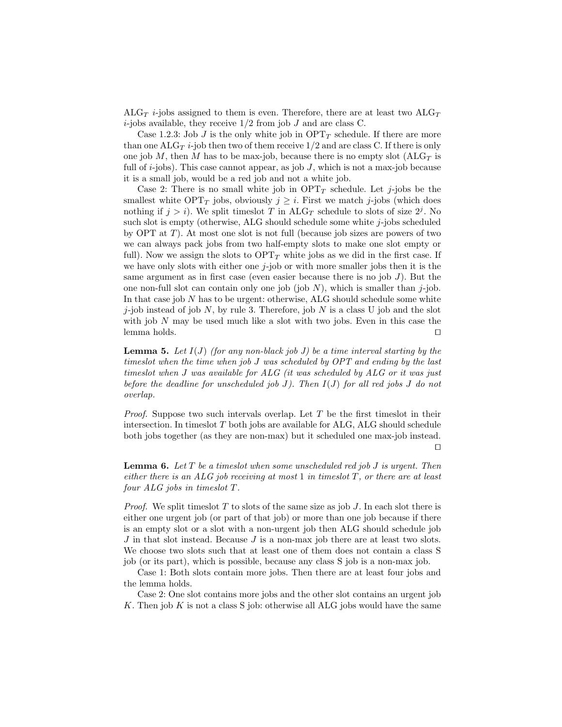$ALG_T$  *i*-jobs assigned to them is even. Therefore, there are at least two  $ALG_T$ *i*-jobs available, they receive  $1/2$  from job  $J$  and are class C.

Case 1.2.3: Job J is the only white job in  $\text{OPT}_T$  schedule. If there are more than one ALG<sub>T</sub> *i*-job then two of them receive  $1/2$  and are class C. If there is only one job  $M$ , then  $M$  has to be max-job, because there is no empty slot (ALG $_T$  is full of  $i$ -jobs). This case cannot appear, as job  $J$ , which is not a max-job because it is a small job, would be a red job and not a white job.

Case 2: There is no small white job in  $\text{OPT}_T$  schedule. Let *j*-jobs be the smallest white  $\text{OPT}_T$  jobs, obviously  $j \geq i$ . First we match j-jobs (which does nothing if  $j > i$ ). We split timeslot T in ALG<sub>T</sub> schedule to slots of size  $2^j$ . No such slot is empty (otherwise, ALG should schedule some white  $j$ -jobs scheduled by OPT at T). At most one slot is not full (because job sizes are powers of two we can always pack jobs from two half-empty slots to make one slot empty or full). Now we assign the slots to  $\text{OPT}_T$  white jobs as we did in the first case. If we have only slots with either one  $j$ -job or with more smaller jobs then it is the same argument as in first case (even easier because there is no job  $J$ ). But the one non-full slot can contain only one job (job  $N$ ), which is smaller than  $j$ -job. In that case job N has to be urgent: otherwise, ALG should schedule some white j-job instead of job N, by rule 3. Therefore, job N is a class U job and the slot with job  $N$  may be used much like a slot with two jobs. Even in this case the lemma holds.  $\Box$ 

**Lemma 5.** Let  $I(J)$  (for any non-black job J) be a time interval starting by the timeslot when the time when job J was scheduled by OPT and ending by the last timeslot when J was available for ALG (it was scheduled by ALG or it was just before the deadline for unscheduled job  $J$ ). Then  $I(J)$  for all red jobs  $J$  do not overlap.

*Proof.* Suppose two such intervals overlap. Let  $T$  be the first timeslot in their intersection. In timeslot  $T$  both jobs are available for  $ALG$ ,  $ALG$  should schedule both jobs together (as they are non-max) but it scheduled one max-job instead.

 $\Box$ 

**Lemma 6.** Let  $T$  be a timeslot when some unscheduled red job  $J$  is urgent. Then either there is an ALG job receiving at most 1 in timeslot  $T$ , or there are at least four ALG jobs in timeslot T.

*Proof.* We split times of T to slots of the same size as job  $J$ . In each slot there is either one urgent job (or part of that job) or more than one job because if there is an empty slot or a slot with a non-urgent job then ALG should schedule job  $J$  in that slot instead. Because  $J$  is a non-max job there are at least two slots. We choose two slots such that at least one of them does not contain a class S job (or its part), which is possible, because any class S job is a non-max job.

Case 1: Both slots contain more jobs. Then there are at least four jobs and the lemma holds.

Case 2: One slot contains more jobs and the other slot contains an urgent job K. Then job  $K$  is not a class S job: otherwise all ALG jobs would have the same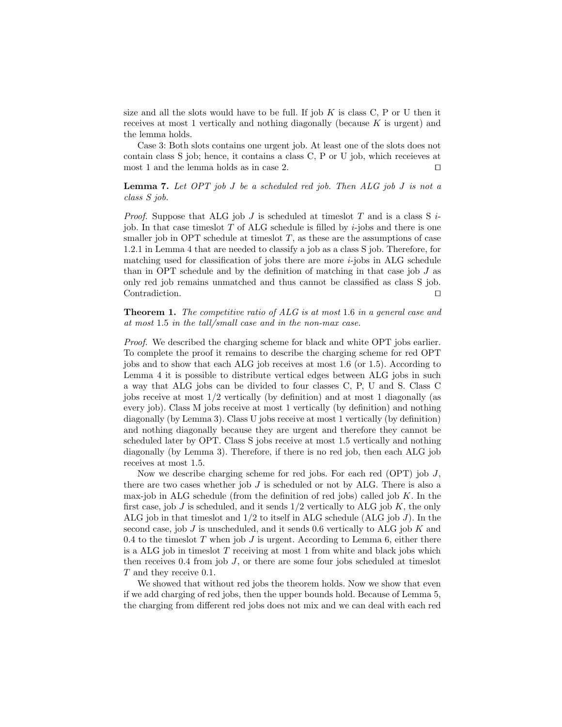size and all the slots would have to be full. If job  $K$  is class  $C, P$  or U then it receives at most 1 vertically and nothing diagonally (because  $K$  is urgent) and the lemma holds.

Case 3: Both slots contains one urgent job. At least one of the slots does not contain class S job; hence, it contains a class C, P or U job, which receieves at most 1 and the lemma holds as in case 2.  $\Box$ 

**Lemma 7.** Let  $OPT$  job  $J$  be a scheduled red job. Then  $ALG$  job  $J$  is not a class S job.

*Proof.* Suppose that ALG job  $J$  is scheduled at timeslot  $T$  and is a class  $S$  ijob. In that case timeslot  $T$  of ALG schedule is filled by  $i$ -jobs and there is one smaller job in OPT schedule at timeslot  $T$ , as these are the assumptions of case 1.2.1 in Lemma 4 that are needed to classify a job as a class S job. Therefore, for matching used for classification of jobs there are more i-jobs in ALG schedule than in OPT schedule and by the definition of matching in that case job J as only red job remains unmatched and thus cannot be classified as class S job.  $\Box$  Contradiction.  $\Box$ 

**Theorem 1.** The competitive ratio of  $ALG$  is at most 1.6 in a general case and at most 1.5 in the tall/small case and in the non-max case.

Proof. We described the charging scheme for black and white OPT jobs earlier. To complete the proof it remains to describe the charging scheme for red OPT jobs and to show that each ALG job receives at most 1.6 (or 1.5). According to Lemma 4 it is possible to distribute vertical edges between ALG jobs in such a way that ALG jobs can be divided to four classes C, P, U and S. Class C jobs receive at most 1/2 vertically (by definition) and at most 1 diagonally (as every job). Class M jobs receive at most 1 vertically (by definition) and nothing diagonally (by Lemma 3). Class U jobs receive at most 1 vertically (by definition) and nothing diagonally because they are urgent and therefore they cannot be scheduled later by OPT. Class S jobs receive at most 1.5 vertically and nothing diagonally (by Lemma 3). Therefore, if there is no red job, then each ALG job receives at most 1.5.

Now we describe charging scheme for red jobs. For each red  $(OPT)$  job  $J$ , there are two cases whether job  $J$  is scheduled or not by ALG. There is also a max-job in ALG schedule (from the definition of red jobs) called job  $K$ . In the first case, job J is scheduled, and it sends  $1/2$  vertically to ALG job K, the only ALG job in that timeslot and  $1/2$  to itself in ALG schedule (ALG job J). In the second case, job  $J$  is unscheduled, and it sends 0.6 vertically to ALG job  $K$  and 0.4 to the timeslot  $T$  when job  $J$  is urgent. According to Lemma 6, either there is a ALG job in timeslot  $T$  receiving at most 1 from white and black jobs which then receives  $0.4$  from job J, or there are some four jobs scheduled at times lot T and they receive 0.1.

We showed that without red jobs the theorem holds. Now we show that even if we add charging of red jobs, then the upper bounds hold. Because of Lemma 5, the charging from different red jobs does not mix and we can deal with each red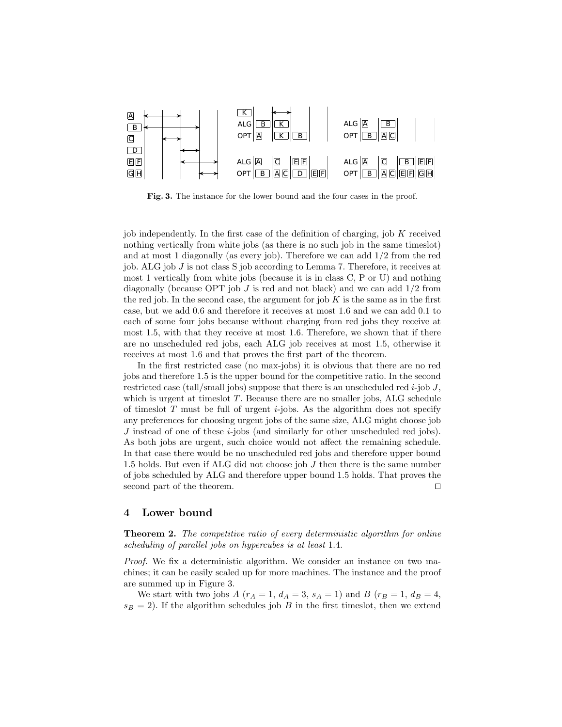

Fig. 3. The instance for the lower bound and the four cases in the proof.

job independently. In the first case of the definition of charging, job  $K$  received nothing vertically from white jobs (as there is no such job in the same timeslot) and at most 1 diagonally (as every job). Therefore we can add 1/2 from the red job. ALG job J is not class S job according to Lemma 7. Therefore, it receives at most 1 vertically from white jobs (because it is in class C, P or U) and nothing diagonally (because OPT job  $J$  is red and not black) and we can add  $1/2$  from the red job. In the second case, the argument for job  $K$  is the same as in the first case, but we add 0.6 and therefore it receives at most 1.6 and we can add 0.1 to each of some four jobs because without charging from red jobs they receive at most 1.5, with that they receive at most 1.6. Therefore, we shown that if there are no unscheduled red jobs, each ALG job receives at most 1.5, otherwise it receives at most 1.6 and that proves the first part of the theorem.

In the first restricted case (no max-jobs) it is obvious that there are no red jobs and therefore 1.5 is the upper bound for the competitive ratio. In the second restricted case (tall/small jobs) suppose that there is an unscheduled red  $i$ -job J, which is urgent at timeslot  $T$ . Because there are no smaller jobs, ALG schedule of timeslot  $T$  must be full of urgent *i*-jobs. As the algorithm does not specify any preferences for choosing urgent jobs of the same size, ALG might choose job J instead of one of these  $i$ -jobs (and similarly for other unscheduled red jobs). As both jobs are urgent, such choice would not affect the remaining schedule. In that case there would be no unscheduled red jobs and therefore upper bound 1.5 holds. But even if ALG did not choose job  $J$  then there is the same number of jobs scheduled by ALG and therefore upper bound 1.5 holds. That proves the second part of the theorem.  $\Box$ 

# 4 Lower bound

**Theorem 2.** The competitive ratio of every deterministic algorithm for online scheduling of parallel jobs on hypercubes is at least 1.4.

Proof. We fix a deterministic algorithm. We consider an instance on two machines; it can be easily scaled up for more machines. The instance and the proof are summed up in Figure 3.

We start with two jobs A  $(r_A = 1, d_A = 3, s_A = 1)$  and B  $(r_B = 1, d_B = 4,$  $s_B = 2$ ). If the algorithm schedules job B in the first timeslot, then we extend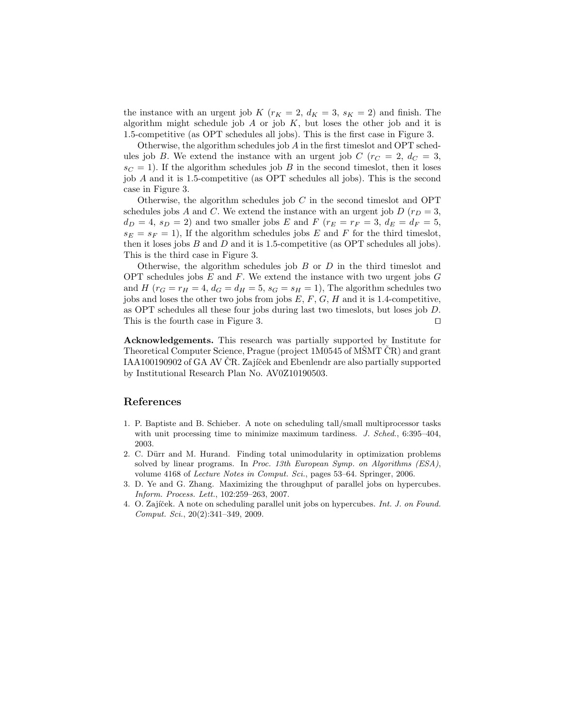the instance with an urgent job K ( $r_K = 2$ ,  $d_K = 3$ ,  $s_K = 2$ ) and finish. The algorithm might schedule job  $A$  or job  $K$ , but loses the other job and it is 1.5-competitive (as OPT schedules all jobs). This is the first case in Figure 3.

Otherwise, the algorithm schedules job A in the first timeslot and OPT schedules job B. We extend the instance with an urgent job C ( $r_C = 2$ ,  $d_C = 3$ ,  $s_C = 1$ ). If the algorithm schedules job B in the second timeslot, then it loses job A and it is 1.5-competitive (as OPT schedules all jobs). This is the second case in Figure 3.

Otherwise, the algorithm schedules job C in the second timeslot and OPT schedules jobs A and C. We extend the instance with an urgent job  $D(r_D = 3,$  $d_D = 4$ ,  $s_D = 2$ ) and two smaller jobs E and F ( $r_E = r_F = 3$ ,  $d_E = d_F = 5$ ,  $s_E = s_F = 1$ , If the algorithm schedules jobs E and F for the third timeslot, then it loses jobs  $B$  and  $D$  and it is 1.5-competitive (as OPT schedules all jobs). This is the third case in Figure 3.

Otherwise, the algorithm schedules job  $B$  or  $D$  in the third timeslot and OPT schedules jobs  $E$  and  $F$ . We extend the instance with two urgent jobs  $G$ and H ( $r_G = r_H = 4$ ,  $d_G = d_H = 5$ ,  $s_G = s_H = 1$ ), The algorithm schedules two jobs and loses the other two jobs from jobs  $E, F, G, H$  and it is 1.4-competitive, as OPT schedules all these four jobs during last two timeslots, but loses job D. This is the fourth case in Figure 3.  $\Box$ 

Acknowledgements. This research was partially supported by Institute for Theoretical Computer Science, Prague (project  $1M0545$  of MSMT CR) and grant IAA100190902 of GA AV ČR. Zajíček and Ebenlendr are also partially supported by Institutional Research Plan No. AV0Z10190503.

#### References

- 1. P. Baptiste and B. Schieber. A note on scheduling tall/small multiprocessor tasks with unit processing time to minimize maximum tardiness.  $J. Sched., 6:395-404,$ 2003.
- 2. C. Dürr and M. Hurand. Finding total unimodularity in optimization problems solved by linear programs. In Proc. 13th European Symp. on Algorithms (ESA), volume 4168 of Lecture Notes in Comput. Sci., pages 53–64. Springer, 2006.
- 3. D. Ye and G. Zhang. Maximizing the throughput of parallel jobs on hypercubes. Inform. Process. Lett., 102:259–263, 2007.
- 4. O. Zajíček. A note on scheduling parallel unit jobs on hypercubes. *Int. J. on Found.* Comput. Sci., 20(2):341–349, 2009.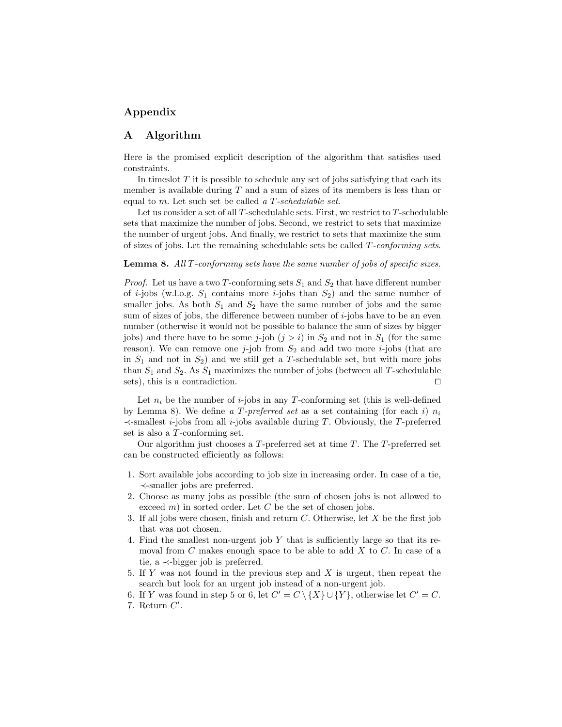# Appendix

# A Algorithm

Here is the promised explicit description of the algorithm that satisfies used constraints.

In times lot  $T$  it is possible to schedule any set of jobs satisfying that each its member is available during  $T$  and a sum of sizes of its members is less than or equal to m. Let such set be called a T-schedulable set.

Let us consider a set of all  $T$ -schedulable sets. First, we restrict to  $T$ -schedulable sets that maximize the number of jobs. Second, we restrict to sets that maximize the number of urgent jobs. And finally, we restrict to sets that maximize the sum of sizes of jobs. Let the remaining schedulable sets be called  $T\text{-}conforming sets.$ 

#### Lemma 8. All T-conforming sets have the same number of jobs of specific sizes.

*Proof.* Let us have a two T-conforming sets  $S_1$  and  $S_2$  that have different number of *i*-jobs (w.l.o.g.  $S_1$  contains more *i*-jobs than  $S_2$ ) and the same number of smaller jobs. As both  $S_1$  and  $S_2$  have the same number of jobs and the same sum of sizes of jobs, the difference between number of  $i$ -jobs have to be an even number (otherwise it would not be possible to balance the sum of sizes by bigger jobs) and there have to be some j-job  $(j > i)$  in  $S_2$  and not in  $S_1$  (for the same reason). We can remove one  $j$ -job from  $S_2$  and add two more *i*-jobs (that are in  $S_1$  and not in  $S_2$ ) and we still get a T-schedulable set, but with more jobs than  $S_1$  and  $S_2$ . As  $S_1$  maximizes the number of jobs (between all T-schedulable sets), this is a contradiction.  $\square$ 

Let  $n_i$  be the number of *i*-jobs in any T-conforming set (this is well-defined by Lemma 8). We define a T-preferred set as a set containing (for each i)  $n_i$  $\prec$ -smallest *i*-jobs from all *i*-jobs available during T. Obviously, the T-preferred set is also a T-conforming set.

Our algorithm just chooses a  $T$ -preferred set at time  $T$ . The  $T$ -preferred set can be constructed efficiently as follows:

- 1. Sort available jobs according to job size in increasing order. In case of a tie, ≺-smaller jobs are preferred.
- 2. Choose as many jobs as possible (the sum of chosen jobs is not allowed to exceed  $m$ ) in sorted order. Let  $C$  be the set of chosen jobs.
- 3. If all jobs were chosen, finish and return  $C$ . Otherwise, let X be the first job that was not chosen.
- 4. Find the smallest non-urgent job  $Y$  that is sufficiently large so that its removal from  $C$  makes enough space to be able to add  $X$  to  $C$ . In case of a tie, a ≺-bigger job is preferred.
- 5. If Y was not found in the previous step and  $X$  is urgent, then repeat the search but look for an urgent job instead of a non-urgent job.
- 6. If Y was found in step 5 or 6, let  $C' = C \setminus \{X\} \cup \{Y\}$ , otherwise let  $C' = C$ . 7. Return  $C'$ .